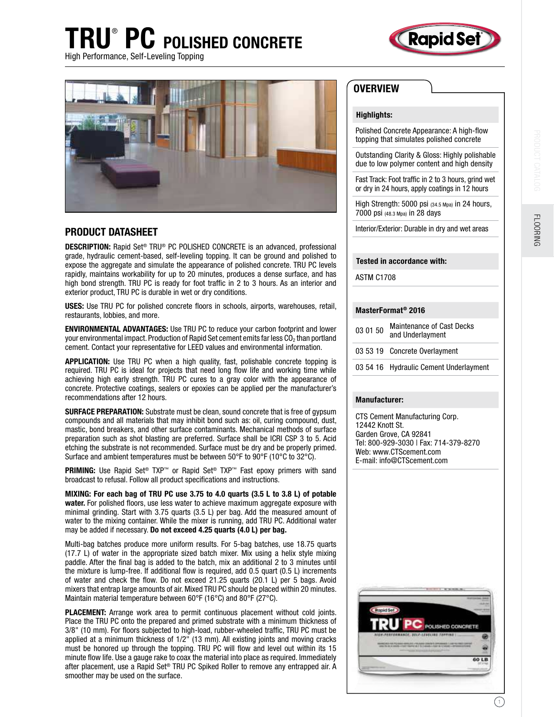# TRU® PC POLISHED CONCRETE



High Performance, Self-Leveling Topping



### PRODUCT DATASHEET

DESCRIPTION: Rapid Set® TRU® PC POLISHED CONCRETE is an advanced, professional grade, hydraulic cement-based, self-leveling topping. It can be ground and polished to expose the aggregate and simulate the appearance of polished concrete. TRU PC levels rapidly, maintains workability for up to 20 minutes, produces a dense surface, and has high bond strength. TRU PC is ready for foot trafic in 2 to 3 hours. As an interior and exterior product, TRU PC is durable in wet or dry conditions.

USES: Use TRU PC for polished concrete floors in schools, airports, warehouses, retail, restaurants, lobbies, and more.

ENVIRONMENTAL ADVANTAGES: Use TRU PC to reduce your carbon footprint and lower your environmental impact. Production of Rapid Set cement emits far less  $CO<sub>2</sub>$  than portland cement. Contact your representative for LEED values and environmental information.

APPLICATION: Use TRU PC when a high quality, fast, polishable concrete topping is required. TRU PC is ideal for projects that need long flow life and working time while achieving high early strength. TRU PC cures to a gray color with the appearance of concrete. Protective coatings, sealers or epoxies can be applied per the manufacturer's recommendations after 12 hours.

SURFACE PREPARATION: Substrate must be clean, sound concrete that is free of gypsum compounds and all materials that may inhibit bond such as: oil, curing compound, dust, mastic, bond breakers, and other surface contaminants. Mechanical methods of surface preparation such as shot blasting are preferred. Surface shall be ICRI CSP 3 to 5. Acid etching the substrate is not recommended. Surface must be dry and be properly primed. Surface and ambient temperatures must be between 50°F to 90°F (10°C to 32°C).

**PRIMING:** Use Rapid Set<sup>®</sup> TXP<sup>™</sup> or Rapid Set<sup>®</sup> TXP<sup>™</sup> Fast epoxy primers with sand broadcast to refusal. Follow all product speciications and instructions.

MIXING: For each bag of TRU PC use 3.75 to 4.0 quarts (3.5 L to 3.8 L) of potable water. For polished floors, use less water to achieve maximum aggregate exposure with minimal grinding. Start with 3.75 quarts (3.5 L) per bag. Add the measured amount of water to the mixing container. While the mixer is running, add TRU PC. Additional water may be added if necessary. Do not exceed 4.25 quarts (4.0 L) per bag.

Multi-bag batches produce more uniform results. For 5-bag batches, use 18.75 quarts (17.7 L) of water in the appropriate sized batch mixer. Mix using a helix style mixing paddle. After the inal bag is added to the batch, mix an additional 2 to 3 minutes until the mixture is lump-free. If additional flow is required, add  $0.5$  quart  $(0.5 \, L)$  increments of water and check the flow. Do not exceed 21.25 quarts (20.1 L) per 5 bags. Avoid mixers that entrap large amounts of air. Mixed TRU PC should be placed within 20 minutes. Maintain material temperature between 60°F (16°C) and 80°F (27°C).

PLACEMENT: Arrange work area to permit continuous placement without cold joints. Place the TRU PC onto the prepared and primed substrate with a minimum thickness of 3/8" (10 mm). For loors subjected to high-load, rubber-wheeled trafic, TRU PC must be applied at a minimum thickness of 1/2" (13 mm). All existing joints and moving cracks must be honored up through the topping. TRU PC will flow and level out within its 15 minute flow life. Use a gauge rake to coax the material into place as required. Immediately after placement, use a Rapid Set® TRU PC Spiked Roller to remove any entrapped air. A smoother may be used on the surface.

## **OVERVIEW**

#### Highlights:

Polished Concrete Appearance: A high-flow topping that simulates polished concrete

Outstanding Clarity & Gloss: Highly polishable due to low polymer content and high density

Fast Track: Foot trafic in 2 to 3 hours, grind wet or dry in 24 hours, apply coatings in 12 hours

High Strength: 5000 psi (34.5 Mpa) in 24 hours, 7000 psi (48.3 Mpa) in 28 days

Interior/Exterior: Durable in dry and wet areas

#### Tested in accordance with:

ASTM C1708

#### MasterFormat® 2016

| 03 01 50 | <b>Maintenance of Cast Decks</b><br>and Underlayment |
|----------|------------------------------------------------------|
|          | 03 53 19 Concrete Overlayment                        |
|          | 03 54 16 Hydraulic Cement Underlayment               |

#### Manufacturer:

CTS Cement Manufacturing Corp. 12442 Knott St. Garden Grove, CA 92841 Tel: 800-929-3030 | Fax: 714-379-8270 Web: www.CTScement.com E-mail: info@CTScement.com



**FLOORING**